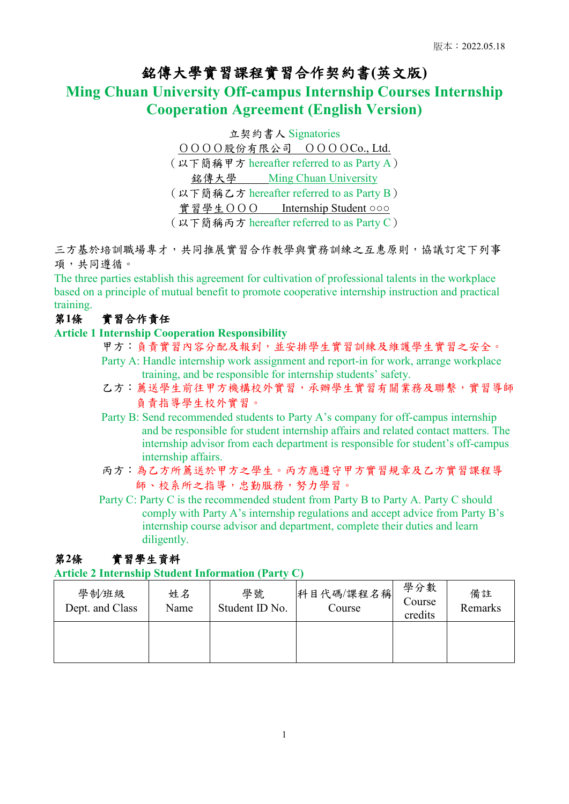# 銘傳大學實習課程實習合作契約書**(**英文版**)**

## **Ming Chuan University Off-campus Internship Courses Internship Cooperation Agreement (English Version)**

立契約書人 Signatories OOOO股份有限公司 OOOOCo., Ltd. (以下簡稱甲方 hereafter referred to as Party A) 銘傳大學 Ming Chuan University (以下簡稱乙方 hereafter referred to as Party B) 實習學生OOO Internship Student ○○○ (以下簡稱丙方 hereafter referred to as Party C)

三方基於培訓職場專才,共同推展實習合作教學與實務訓練之互惠原則,協議訂定下列事 項,共同遵循。

The three parties establish this agreement for cultivation of professional talents in the workplace based on a principle of mutual benefit to promote cooperative internship instruction and practical training.

## 第**1**條 實習合作責任

#### **Article 1 Internship Cooperation Responsibility**

- 甲方:負責實習內容分配及報到,並安排學生實習訓練及維護學生實習之安全。
- Party A: Handle internship work assignment and report-in for work, arrange workplace training, and be responsible for internship students' safety.
- 乙方:薦送學生前往甲方機構校外實習,承辦學生實習有關業務及聯繫,實習導師 負責指導學生校外實習。
- Party B: Send recommended students to Party A's company for off-campus internship and be responsible for student internship affairs and related contact matters. The internship advisor from each department is responsible for student's off-campus internship affairs.
- 丙方:為乙方所薦送於甲方之學生。丙方應遵守甲方實習規章及乙方實習課程導 師、校系所之指導,忠勤服務,努力學習。
- Party C: Party C is the recommended student from Party B to Party A. Party C should comply with Party A's internship regulations and accept advice from Party B's internship course advisor and department, complete their duties and learn diligently.

## 第**2**條 實習學生資料

#### **Article 2 Internship Student Information (Party C)**

| 學制/班級<br>Dept. and Class | 姓名<br>Name | 學號<br>Student ID No. | 科目代碼/課程名稱<br>Course | 學分數<br>Course<br>credits | 備註<br>Remarks |
|--------------------------|------------|----------------------|---------------------|--------------------------|---------------|
|                          |            |                      |                     |                          |               |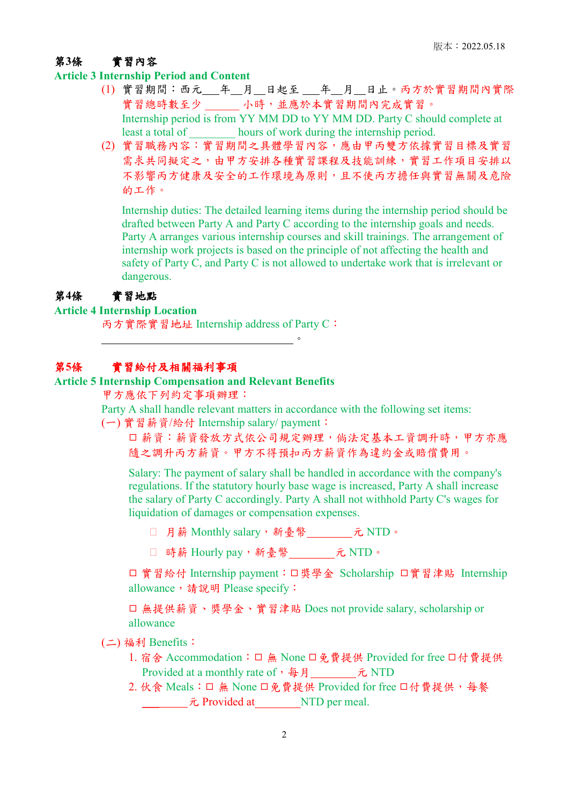## 第**3**條 實習內容

#### **Article 3 Internship Period and Content**

- (1) 實習期間:西元\_\_\_年\_\_月\_\_日起至 \_\_\_年\_\_月\_\_日止。丙方於實習期間內實際 實習總時數至少 \_\_\_\_\_ 小時,並應於本實習期間內完成實習。 Internship period is from YY MM DD to YY MM DD. Party C should complete at least a total of hours of work during the internship period.
- (2) 實習職務內容:實習期間之具體學習內容,應由甲丙雙方依據實習目標及實習 需求共同擬定之,由甲方安排各種實習課程及技能訓練,實習工作項目安排以 不影響丙方健康及安全的工作環境為原則,且不使丙方擔任與實習無關及危險 的工作。

Internship duties: The detailed learning items during the internship period should be drafted between Party A and Party C according to the internship goals and needs. Party A arranges various internship courses and skill trainings. The arrangement of internship work projects is based on the principle of not affecting the health and safety of Party C, and Party C is not allowed to undertake work that is irrelevant or dangerous.

#### 第**4**條 實習地點

## **Article 4 Internship Location**

丙方實際實習地址 Internship address of Party C:

## 第**5**條 實習給付及相關福利事項

#### **Article 5 Internship Compensation and Relevant Benefits**

 $\overline{\phantom{a}}$ 

甲方應依下列約定事項辦理:

Party A shall handle relevant matters in accordance with the following set items:

(一) 實習薪資/給付 Internship salary/ payment:

口 薪資: 薪資發放方式依公司規定辦理,倘法定基本工資調升時,甲方亦應 隨之調升丙方薪資。甲方不得預扣丙方薪資作為違約金或賠償費用。

Salary: The payment of salary shall be handled in accordance with the company's regulations. If the statutory hourly base wage is increased, Party A shall increase the salary of Party C accordingly. Party A shall not withhold Party C's wages for liquidation of damages or compensation expenses.

□ 月薪 Monthly salary, 新臺幣 元 NTD。

□ 時薪 Hourly pay, 新臺幣 元 NTD。

□ 實習給付 Internship payment: □獎學金 Scholarship □實習津貼 Internship allowance, 請說明 Please specify:

◻ 無提供薪資、獎學金、實習津貼 Does not provide salary, scholarship or allowance

#### (二) 福利 Benefits:

- 1. 宿舍 Accommodation: □ 無 None □免費提供 Provided for free □付費提供 Provided at a monthly rate of, 每月 \_\_\_\_\_\_\_ 元 NTD
- 2. 伙食 Meals: □ 無 None □免費提供 Provided for free □付費提供, 每餐 **\_\_\_\_\_\_\_\_\_\_\_元** Provided at \_\_\_\_\_\_\_\_NTD per meal.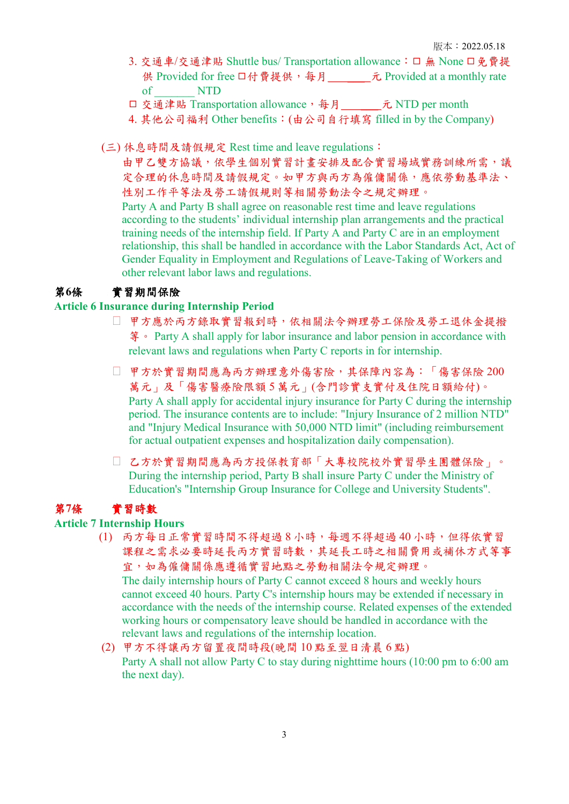- 3. 交通車/交通津貼 Shuttle bus/ Transportation allowance: □ 無 None □免費提 供 Provided for free □付費提供,每月 元 Provided at a monthly rate of \_\_\_\_\_\_\_ NTD
- □ 交通津貼 Transportation allowance,每月 元 NTD per month
- 4. 其他公司福利 Other benefits:(由公司自行填寫 filled in by the Company)
- (三) 休息時間及請假規定 Rest time and leave regulations:

由甲乙雙方協議,依學生個別實習計書安排及配合實習場域實務訓練所需,議 定合理的休息時間及請假規定。如甲方與丙方為僱傭關係,應依勞動基準法、 性別工作平等法及勞工請假規則等相關勞動法令之規定辦理。

Party A and Party B shall agree on reasonable rest time and leave regulations according to the students' individual internship plan arrangements and the practical training needs of the internship field. If Party A and Party C are in an employment relationship, this shall be handled in accordance with the Labor Standards Act, Act of Gender Equality in Employment and Regulations of Leave-Taking of Workers and other relevant labor laws and regulations.

#### 第**6**條 實習期間保險

## **Article 6 Insurance during Internship Period**

- ◻ 甲方應於丙方錄取實習報到時,依相關法令辦理勞工保險及勞工退休金提撥 等。 Party A shall apply for labor insurance and labor pension in accordance with relevant laws and regulations when Party C reports in for internship.
- □ 甲方於實習期間應為丙方辦理意外傷害險,其保障內容為:「傷害保險 200 萬元」及「傷害醫療險限額 5 萬元」(含門診實支實付及住院日額給付)。 Party A shall apply for accidental injury insurance for Party C during the internship period. The insurance contents are to include: "Injury Insurance of 2 million NTD" and "Injury Medical Insurance with 50,000 NTD limit" (including reimbursement for actual outpatient expenses and hospitalization daily compensation).
- ◻ 乙方於實習期間應為丙方投保教育部「大專校院校外實習學生團體保險」。 During the internship period, Party B shall insure Party C under the Ministry of Education's "Internship Group Insurance for College and University Students".

## 第**7**條 實習時數

#### **Article 7 Internship Hours**

- (1) 丙方每日正常實習時間不得超過 8 小時,每週不得超過 40 小時,但得依實習 課程之需求必要時延長丙方實習時數,其延長工時之相關費用或補休方式等事 宜,如為僱傭關係應遵循實習地點之勞動相關法令規定辦理。 The daily internship hours of Party C cannot exceed 8 hours and weekly hours cannot exceed 40 hours. Party C's internship hours may be extended if necessary in accordance with the needs of the internship course. Related expenses of the extended working hours or compensatory leave should be handled in accordance with the relevant laws and regulations of the internship location.
- (2) 甲方不得讓丙方留置夜間時段(晚間 10 點至翌日清晨 6 點) Party A shall not allow Party C to stay during nighttime hours (10:00 pm to 6:00 am the next day).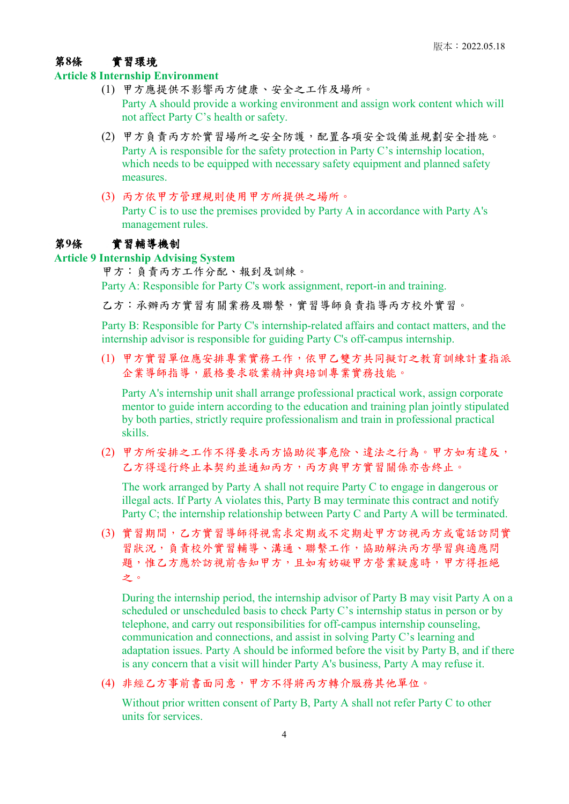#### 第**8**條 實習環境

#### **Article 8 Internship Environment**

- (1) 甲方應提供不影響丙方健康、安全之工作及場所。 Party A should provide a working environment and assign work content which will not affect Party C's health or safety.
- (2) 甲方負責丙方於實習場所之安全防護,配置各項安全設備並規劃安全措施。 Party A is responsible for the safety protection in Party C's internship location, which needs to be equipped with necessary safety equipment and planned safety measures.
- (3) 丙方依甲方管理規則使用甲方所提供之場所。 Party C is to use the premises provided by Party A in accordance with Party A's management rules.

#### 第**9**條 實習輔導機制

#### **Article 9 Internship Advising System**

甲方:負責丙方工作分配、報到及訓練。

Party A: Responsible for Party C's work assignment, report-in and training.

乙方:承辦丙方實習有關業務及聯繫,實習導師負責指導丙方校外實習。

Party B: Responsible for Party C's internship-related affairs and contact matters, and the internship advisor is responsible for guiding Party C's off-campus internship.

(1) 甲方實習單位應安排專業實務工作,依甲乙雙方共同擬訂之教育訓練計畫指派 企業導師指導,嚴格要求敬業精神與培訓專業實務技能。

Party A's internship unit shall arrange professional practical work, assign corporate mentor to guide intern according to the education and training plan jointly stipulated by both parties, strictly require professionalism and train in professional practical skills.

(2) 甲方所安排之工作不得要求丙方協助從事危險、違法之行為。甲方如有違反, 乙方得逕行終止本契約並通知丙方,丙方與甲方實習關係亦告終止。

The work arranged by Party A shall not require Party C to engage in dangerous or illegal acts. If Party A violates this, Party B may terminate this contract and notify Party C; the internship relationship between Party C and Party A will be terminated.

(3) 實習期間,乙方實習導師得視需求定期或不定期赴甲方訪視丙方或電話訪問實 習狀況,負責校外實習輔導、溝通、聯繫工作,協助解決丙方學習與適應問 題,惟乙方應於訪視前告知甲方,且如有妨礙甲方營業疑慮時,甲方得拒絕 之。

During the internship period, the internship advisor of Party B may visit Party A on a scheduled or unscheduled basis to check Party C's internship status in person or by telephone, and carry out responsibilities for off-campus internship counseling, communication and connections, and assist in solving Party C's learning and adaptation issues. Party A should be informed before the visit by Party B, and if there is any concern that a visit will hinder Party A's business, Party A may refuse it.

(4) 非經乙方事前書面同意,甲方不得將丙方轉介服務其他單位。

Without prior written consent of Party B, Party A shall not refer Party C to other units for services.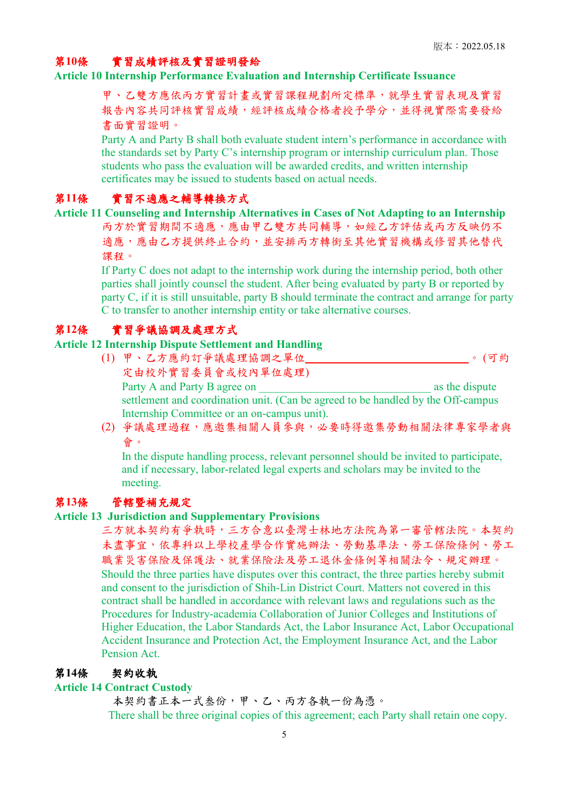## 第**10**條 實習成績評核及實習證明發給

#### **Article 10 Internship Performance Evaluation and Internship Certificate Issuance**

甲、乙雙方應依丙方實習計畫或實習課程規劃所定標準,就學生實習表現及實習 報告內容共同評核實習成績,經評核成績合格者授予學分,並得視實際需要發給 書面實習證明。

Party A and Party B shall both evaluate student intern's performance in accordance with the standards set by Party C's internship program or internship curriculum plan. Those students who pass the evaluation will be awarded credits, and written internship certificates may be issued to students based on actual needs.

## 第**11**條 實習不適應之輔導轉換方式

**Article 11 Counseling and Internship Alternatives in Cases of Not Adapting to an Internship** 丙方於實習期間不適應,應由甲乙雙方共同輔導,如經乙方評估或丙方反映仍不 適應,應由乙方提供終止合約,並安排丙方轉銜至其他實習機構或修習其他替代 課程。

> If Party C does not adapt to the internship work during the internship period, both other parties shall jointly counsel the student. After being evaluated by party B or reported by party C, if it is still unsuitable, party B should terminate the contract and arrange for party C to transfer to another internship entity or take alternative courses.

## 第**12**條 實習爭議協調及處理方式

## **Article 12 Internship Dispute Settlement and Handling**

- (1) 甲、乙方應約訂爭議處理協調之單位 。 (可約 定由校外實習委員會或校內單位處理) Party A and Party B agree on  $\blacksquare$ settlement and coordination unit. (Can be agreed to be handled by the Off-campus Internship Committee or an on-campus unit).
- (2) 爭議處理過程,應邀集相關人員參與,必要時得邀集勞動相關法律專家學者與 會。

In the dispute handling process, relevant personnel should be invited to participate, and if necessary, labor-related legal experts and scholars may be invited to the meeting.

## 第**13**條 管轄暨補充規定

## **Article 13 Jurisdiction and Supplementary Provisions**

三方就本契約有爭執時,三方合意以臺灣士林地方法院為第一審管轄法院。本契約 未盡事宜,依專科以上學校產學合作實施辦法、勞動基準法、勞工保險條例、勞工 職業災害保險及保護法、就業保險法及勞工退休金條例等相關法令、規定辦理。 Should the three parties have disputes over this contract, the three parties hereby submit and consent to the jurisdiction of Shih-Lin District Court. Matters not covered in this contract shall be handled in accordance with relevant laws and regulations such as the Procedures for Industry-academia Collaboration of Junior Colleges and Institutions of Higher Education, the Labor Standards Act, the Labor Insurance Act, Labor Occupational Accident Insurance and Protection Act, the Employment Insurance Act, and the Labor Pension Act.

## 第**14**條 契約收執

#### **Article 14 Contract Custody**

本契約書正本一式叁份,甲、乙、丙方各執一份為憑。 There shall be three original copies of this agreement; each Party shall retain one copy.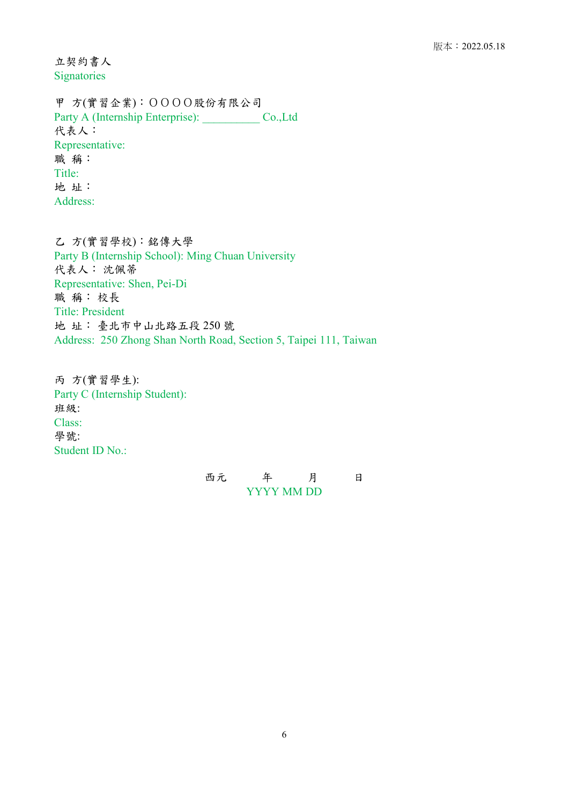立契約書人 Signatories

甲 方(實習企業):OOOO股份有限公司 Party A (Internship Enterprise): \_\_\_\_\_\_\_\_\_\_ Co.,Ltd 代表人: Representative: 職 稱: Title: 地 址: Address:

乙 方(實習學校):銘傳大學 Party B (Internship School): Ming Chuan University 代表人: 沈佩蒂 Representative: Shen, Pei-Di 職 稱: 校長 Title: President 地 址: 臺北市中山北路五段 250 號 Address: 250 Zhong Shan North Road, Section 5, Taipei 111, Taiwan

丙 方(實習學生): Party C (Internship Student): 班級: Class: 學號: Student ID No.:

| 西元 |            | 月 |  |
|----|------------|---|--|
|    | YYYY MM DD |   |  |